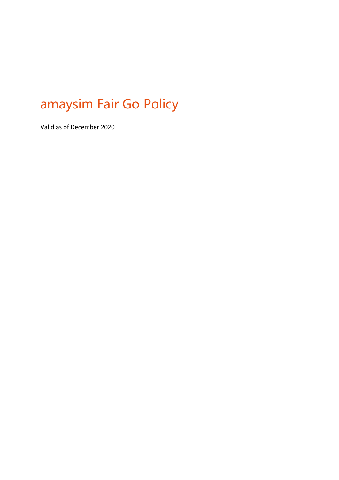# amaysim Fair Go Policy

Valid as of December 2020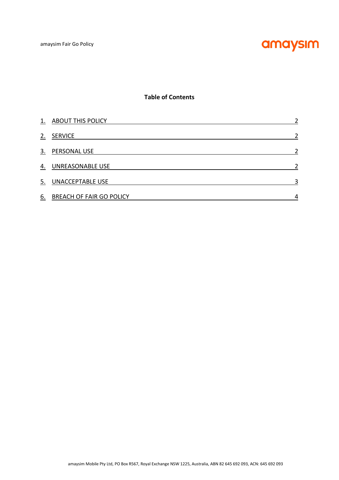

## **Table of Contents**

| 1. | <b>ABOUT THIS POLICY</b>        | $\mathcal{P}$ |
|----|---------------------------------|---------------|
| 2. | <b>SERVICE</b>                  |               |
| 3. | <b>PERSONAL USE</b>             |               |
| 4. | UNREASONABLE USE                |               |
| 5. | <b>UNACCEPTABLE USE</b>         | 3             |
| 6. | <b>BREACH OF FAIR GO POLICY</b> | 4             |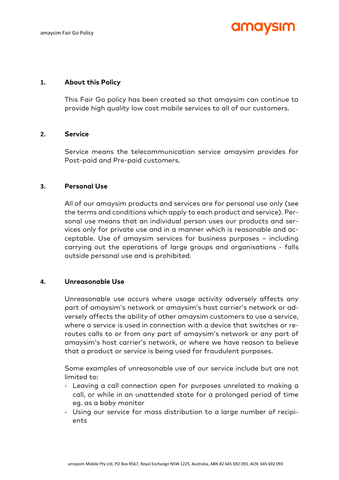## **anne vsim**

#### **1. About this Policy**

This Fair Go policy has been created so that amaysim can continue to provide high quality low cost mobile services to all of our customers.

## **2. Service**

Service means the telecommunication service amaysim provides for Post-paid and Pre-paid customers.

#### **3. Personal Use**

All of our amaysim products and services are for personal use only (see the terms and conditions which apply to each product and service). Personal use means that an individual person uses our products and services only for private use and in a manner which is reasonable and acceptable. Use of amaysim services for business purposes – including carrying out the operations of large groups and organisations - falls outside personal use and is prohibited.

## **4. Unreasonable Use**

Unreasonable use occurs where usage activity adversely affects any part of amaysim's network or amaysim's host carrier's network or adversely affects the ability of other amaysim customers to use a service, where a service is used in connection with a device that switches or reroutes calls to or from any part of amaysim's network or any part of amaysim's host carrier's network, or where we have reason to believe that a product or service is being used for fraudulent purposes.

Some examples of unreasonable use of our service include but are not limited to:

- Leaving a call connection open for purposes unrelated to making a call, or while in an unattended state for a prolonged period of time eg. as a baby monitor
- Using our service for mass distribution to a large number of recipients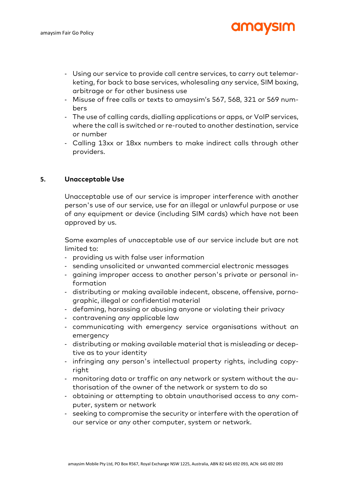- Using our service to provide call centre services, to carry out telemarketing, for back to base services, wholesaling any service, SIM boxing, arbitrage or for other business use

**amavsım** 

- Misuse of free calls or texts to amaysim's 567, 568, 321 or 569 numbers
- The use of calling cards, dialling applications or apps, or VoIP services, where the call is switched or re-routed to another destination, service or number
- Calling 13xx or 18xx numbers to make indirect calls through other providers.

## **5. Unacceptable Use**

Unacceptable use of our service is improper interference with another person's use of our service, use for an illegal or unlawful purpose or use of any equipment or device (including SIM cards) which have not been approved by us.

Some examples of unacceptable use of our service include but are not limited to:

- providing us with false user information
- sending unsolicited or unwanted commercial electronic messages
- gaining improper access to another person's private or personal information
- distributing or making available indecent, obscene, offensive, pornographic, illegal or confidential material
- defaming, harassing or abusing anyone or violating their privacy
- contravening any applicable law
- communicating with emergency service organisations without an emergency
- distributing or making available material that is misleading or deceptive as to your identity
- infringing any person's intellectual property rights, including copyright
- monitoring data or traffic on any network or system without the authorisation of the owner of the network or system to do so
- obtaining or attempting to obtain unauthorised access to any computer, system or network
- seeking to compromise the security or interfere with the operation of our service or any other computer, system or network.